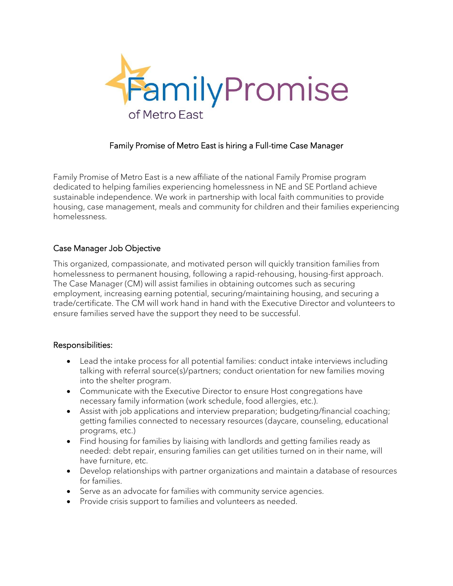

# Family Promise of Metro East is hiring a Full-time Case Manager

Family Promise of Metro East is a new affiliate of the national Family Promise program dedicated to helping families experiencing homelessness in NE and SE Portland achieve sustainable independence. We work in partnership with local faith communities to provide housing, case management, meals and community for children and their families experiencing homelessness.

## Case Manager Job Objective

This organized, compassionate, and motivated person will quickly transition families from homelessness to permanent housing, following a rapid-rehousing, housing-first approach. The Case Manager (CM) will assist families in obtaining outcomes such as securing employment, increasing earning potential, securing/maintaining housing, and securing a trade/certificate. The CM will work hand in hand with the Executive Director and volunteers to ensure families served have the support they need to be successful.

## Responsibilities:

- Lead the intake process for all potential families: conduct intake interviews including talking with referral source(s)/partners; conduct orientation for new families moving into the shelter program.
- Communicate with the Executive Director to ensure Host congregations have necessary family information (work schedule, food allergies, etc.).
- Assist with job applications and interview preparation; budgeting/financial coaching; getting families connected to necessary resources (daycare, counseling, educational programs, etc.)
- Find housing for families by liaising with landlords and getting families ready as needed: debt repair, ensuring families can get utilities turned on in their name, will have furniture, etc.
- Develop relationships with partner organizations and maintain a database of resources for families.
- Serve as an advocate for families with community service agencies.
- Provide crisis support to families and volunteers as needed.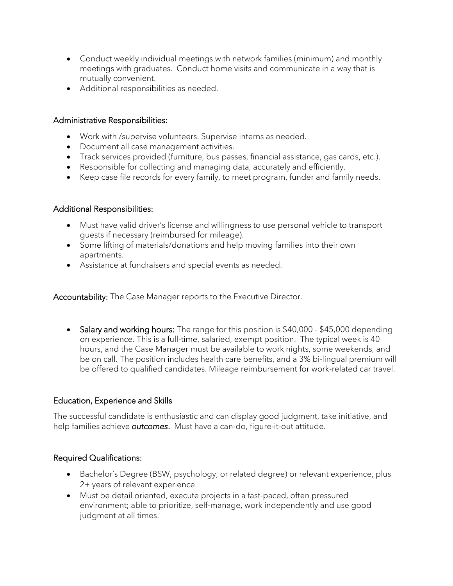- Conduct weekly individual meetings with network families (minimum) and monthly meetings with graduates. Conduct home visits and communicate in a way that is mutually convenient.
- Additional responsibilities as needed.

### Administrative Responsibilities:

- Work with /supervise volunteers. Supervise interns as needed.
- Document all case management activities.
- Track services provided (furniture, bus passes, financial assistance, gas cards, etc.).
- Responsible for collecting and managing data, accurately and efficiently.
- Keep case file records for every family, to meet program, funder and family needs.

### Additional Responsibilities:

- Must have valid driver's license and willingness to use personal vehicle to transport guests if necessary (reimbursed for mileage).
- Some lifting of materials/donations and help moving families into their own apartments.
- Assistance at fundraisers and special events as needed.

Accountability: The Case Manager reports to the Executive Director.

• Salary and working hours: The range for this position is \$40,000 - \$45,000 depending on experience. This is a full-time, salaried, exempt position. The typical week is 40 hours, and the Case Manager must be available to work nights, some weekends, and be on call. The position includes health care benefits, and a 3% bi-lingual premium will be offered to qualified candidates. Mileage reimbursement for work-related car travel.

## Education, Experience and Skills

The successful candidate is enthusiastic and can display good judgment, take initiative, and help families achieve *outcomes*. Must have a can-do, figure-it-out attitude.

#### Required Qualifications:

- Bachelor's Degree (BSW, psychology, or related degree) or relevant experience, plus 2+ years of relevant experience
- Must be detail oriented, execute projects in a fast-paced, often pressured environment; able to prioritize, self-manage, work independently and use good judgment at all times.